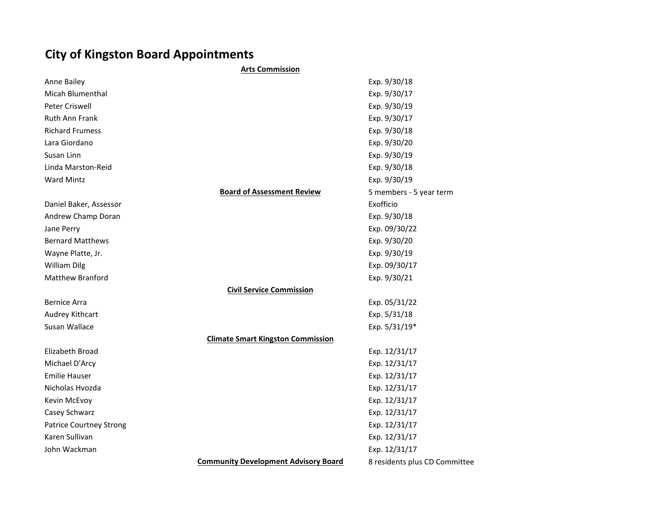## City of Kingston Board Appointments

|                                | <b>Arts Commission</b>                      |                               |
|--------------------------------|---------------------------------------------|-------------------------------|
| Anne Bailey                    |                                             | Exp. 9/30/18                  |
| Micah Blumenthal               |                                             | Exp. 9/30/17                  |
| Peter Criswell                 |                                             | Exp. 9/30/19                  |
| <b>Ruth Ann Frank</b>          |                                             | Exp. 9/30/17                  |
| <b>Richard Frumess</b>         |                                             | Exp. 9/30/18                  |
| Lara Giordano                  |                                             | Exp. 9/30/20                  |
| Susan Linn                     |                                             | Exp. 9/30/19                  |
| Linda Marston-Reid             |                                             | Exp. 9/30/18                  |
| <b>Ward Mintz</b>              |                                             | Exp. 9/30/19                  |
|                                | <b>Board of Assessment Review</b>           | 5 members - 5 year term       |
| Daniel Baker, Assessor         |                                             | Exofficio                     |
| Andrew Champ Doran             |                                             | Exp. 9/30/18                  |
| Jane Perry                     |                                             | Exp. 09/30/22                 |
| <b>Bernard Matthews</b>        |                                             | Exp. 9/30/20                  |
| Wayne Platte, Jr.              |                                             | Exp. 9/30/19                  |
| William Dilg                   |                                             | Exp. 09/30/17                 |
| Matthew Branford               |                                             | Exp. 9/30/21                  |
|                                | <b>Civil Service Commission</b>             |                               |
| <b>Bernice Arra</b>            |                                             | Exp. 05/31/22                 |
| Audrey Kithcart                |                                             | Exp. 5/31/18                  |
| Susan Wallace                  |                                             | Exp. 5/31/19*                 |
|                                | <b>Climate Smart Kingston Commission</b>    |                               |
| Elizabeth Broad                |                                             | Exp. 12/31/17                 |
| Michael D'Arcy                 |                                             | Exp. 12/31/17                 |
| <b>Emilie Hauser</b>           |                                             | Exp. 12/31/17                 |
| Nicholas Hvozda                |                                             | Exp. 12/31/17                 |
| Kevin McEvoy                   |                                             | Exp. 12/31/17                 |
| Casey Schwarz                  |                                             | Exp. 12/31/17                 |
| <b>Patrice Courtney Strong</b> |                                             | Exp. 12/31/17                 |
| Karen Sullivan                 |                                             | Exp. 12/31/17                 |
| John Wackman                   |                                             | Exp. 12/31/17                 |
|                                | <b>Community Development Advisory Board</b> | 8 residents plus CD Committee |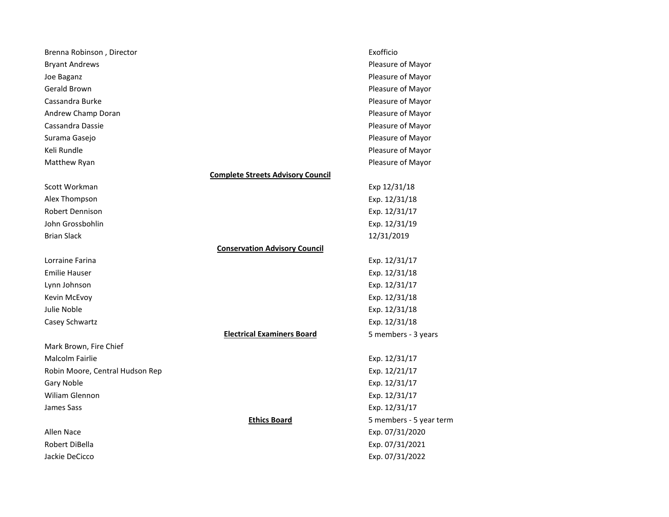| Pleasure of Mayor<br><b>Bryant Andrews</b><br>Pleasure of Mayor<br>Joe Baganz<br>Gerald Brown<br>Pleasure of Mayor<br>Cassandra Burke<br>Pleasure of Mayor<br>Andrew Champ Doran<br>Pleasure of Mayor<br>Cassandra Dassie<br>Pleasure of Mayor<br>Pleasure of Mayor<br>Surama Gasejo<br>Keli Rundle<br>Pleasure of Mayor<br>Matthew Ryan<br>Pleasure of Mayor<br><b>Complete Streets Advisory Council</b><br>Scott Workman<br>Exp 12/31/18<br>Alex Thompson<br>Exp. 12/31/18<br><b>Robert Dennison</b><br>Exp. 12/31/17<br>Exp. 12/31/19<br>John Grossbohlin<br><b>Brian Slack</b><br>12/31/2019<br><b>Conservation Advisory Council</b><br>Lorraine Farina<br>Exp. 12/31/17<br><b>Emilie Hauser</b><br>Exp. 12/31/18<br>Exp. 12/31/17<br>Lynn Johnson<br>Exp. 12/31/18<br>Kevin McEvoy<br>Julie Noble<br>Exp. 12/31/18<br>Casey Schwartz<br>Exp. 12/31/18<br><b>Electrical Examiners Board</b><br>5 members - 3 years<br>Mark Brown, Fire Chief<br>Malcolm Fairlie<br>Exp. 12/31/17<br>Exp. 12/21/17<br>Robin Moore, Central Hudson Rep<br>Gary Noble<br>Exp. 12/31/17<br>Wiliam Glennon<br>Exp. 12/31/17<br>James Sass<br>Exp. 12/31/17<br><b>Ethics Board</b><br>5 members - 5 year term<br>Exp. 07/31/2020<br>Allen Nace<br>Robert DiBella<br>Exp. 07/31/2021<br>Jackie DeCicco<br>Exp. 07/31/2022 | Brenna Robinson, Director | Exofficio |
|--------------------------------------------------------------------------------------------------------------------------------------------------------------------------------------------------------------------------------------------------------------------------------------------------------------------------------------------------------------------------------------------------------------------------------------------------------------------------------------------------------------------------------------------------------------------------------------------------------------------------------------------------------------------------------------------------------------------------------------------------------------------------------------------------------------------------------------------------------------------------------------------------------------------------------------------------------------------------------------------------------------------------------------------------------------------------------------------------------------------------------------------------------------------------------------------------------------------------------------------------------------------------------------------------------|---------------------------|-----------|
|                                                                                                                                                                                                                                                                                                                                                                                                                                                                                                                                                                                                                                                                                                                                                                                                                                                                                                                                                                                                                                                                                                                                                                                                                                                                                                        |                           |           |
|                                                                                                                                                                                                                                                                                                                                                                                                                                                                                                                                                                                                                                                                                                                                                                                                                                                                                                                                                                                                                                                                                                                                                                                                                                                                                                        |                           |           |
|                                                                                                                                                                                                                                                                                                                                                                                                                                                                                                                                                                                                                                                                                                                                                                                                                                                                                                                                                                                                                                                                                                                                                                                                                                                                                                        |                           |           |
|                                                                                                                                                                                                                                                                                                                                                                                                                                                                                                                                                                                                                                                                                                                                                                                                                                                                                                                                                                                                                                                                                                                                                                                                                                                                                                        |                           |           |
|                                                                                                                                                                                                                                                                                                                                                                                                                                                                                                                                                                                                                                                                                                                                                                                                                                                                                                                                                                                                                                                                                                                                                                                                                                                                                                        |                           |           |
|                                                                                                                                                                                                                                                                                                                                                                                                                                                                                                                                                                                                                                                                                                                                                                                                                                                                                                                                                                                                                                                                                                                                                                                                                                                                                                        |                           |           |
|                                                                                                                                                                                                                                                                                                                                                                                                                                                                                                                                                                                                                                                                                                                                                                                                                                                                                                                                                                                                                                                                                                                                                                                                                                                                                                        |                           |           |
|                                                                                                                                                                                                                                                                                                                                                                                                                                                                                                                                                                                                                                                                                                                                                                                                                                                                                                                                                                                                                                                                                                                                                                                                                                                                                                        |                           |           |
|                                                                                                                                                                                                                                                                                                                                                                                                                                                                                                                                                                                                                                                                                                                                                                                                                                                                                                                                                                                                                                                                                                                                                                                                                                                                                                        |                           |           |
|                                                                                                                                                                                                                                                                                                                                                                                                                                                                                                                                                                                                                                                                                                                                                                                                                                                                                                                                                                                                                                                                                                                                                                                                                                                                                                        |                           |           |
|                                                                                                                                                                                                                                                                                                                                                                                                                                                                                                                                                                                                                                                                                                                                                                                                                                                                                                                                                                                                                                                                                                                                                                                                                                                                                                        |                           |           |
|                                                                                                                                                                                                                                                                                                                                                                                                                                                                                                                                                                                                                                                                                                                                                                                                                                                                                                                                                                                                                                                                                                                                                                                                                                                                                                        |                           |           |
|                                                                                                                                                                                                                                                                                                                                                                                                                                                                                                                                                                                                                                                                                                                                                                                                                                                                                                                                                                                                                                                                                                                                                                                                                                                                                                        |                           |           |
|                                                                                                                                                                                                                                                                                                                                                                                                                                                                                                                                                                                                                                                                                                                                                                                                                                                                                                                                                                                                                                                                                                                                                                                                                                                                                                        |                           |           |
|                                                                                                                                                                                                                                                                                                                                                                                                                                                                                                                                                                                                                                                                                                                                                                                                                                                                                                                                                                                                                                                                                                                                                                                                                                                                                                        |                           |           |
|                                                                                                                                                                                                                                                                                                                                                                                                                                                                                                                                                                                                                                                                                                                                                                                                                                                                                                                                                                                                                                                                                                                                                                                                                                                                                                        |                           |           |
|                                                                                                                                                                                                                                                                                                                                                                                                                                                                                                                                                                                                                                                                                                                                                                                                                                                                                                                                                                                                                                                                                                                                                                                                                                                                                                        |                           |           |
|                                                                                                                                                                                                                                                                                                                                                                                                                                                                                                                                                                                                                                                                                                                                                                                                                                                                                                                                                                                                                                                                                                                                                                                                                                                                                                        |                           |           |
|                                                                                                                                                                                                                                                                                                                                                                                                                                                                                                                                                                                                                                                                                                                                                                                                                                                                                                                                                                                                                                                                                                                                                                                                                                                                                                        |                           |           |
|                                                                                                                                                                                                                                                                                                                                                                                                                                                                                                                                                                                                                                                                                                                                                                                                                                                                                                                                                                                                                                                                                                                                                                                                                                                                                                        |                           |           |
|                                                                                                                                                                                                                                                                                                                                                                                                                                                                                                                                                                                                                                                                                                                                                                                                                                                                                                                                                                                                                                                                                                                                                                                                                                                                                                        |                           |           |
|                                                                                                                                                                                                                                                                                                                                                                                                                                                                                                                                                                                                                                                                                                                                                                                                                                                                                                                                                                                                                                                                                                                                                                                                                                                                                                        |                           |           |
|                                                                                                                                                                                                                                                                                                                                                                                                                                                                                                                                                                                                                                                                                                                                                                                                                                                                                                                                                                                                                                                                                                                                                                                                                                                                                                        |                           |           |
|                                                                                                                                                                                                                                                                                                                                                                                                                                                                                                                                                                                                                                                                                                                                                                                                                                                                                                                                                                                                                                                                                                                                                                                                                                                                                                        |                           |           |
|                                                                                                                                                                                                                                                                                                                                                                                                                                                                                                                                                                                                                                                                                                                                                                                                                                                                                                                                                                                                                                                                                                                                                                                                                                                                                                        |                           |           |
|                                                                                                                                                                                                                                                                                                                                                                                                                                                                                                                                                                                                                                                                                                                                                                                                                                                                                                                                                                                                                                                                                                                                                                                                                                                                                                        |                           |           |
|                                                                                                                                                                                                                                                                                                                                                                                                                                                                                                                                                                                                                                                                                                                                                                                                                                                                                                                                                                                                                                                                                                                                                                                                                                                                                                        |                           |           |
|                                                                                                                                                                                                                                                                                                                                                                                                                                                                                                                                                                                                                                                                                                                                                                                                                                                                                                                                                                                                                                                                                                                                                                                                                                                                                                        |                           |           |
|                                                                                                                                                                                                                                                                                                                                                                                                                                                                                                                                                                                                                                                                                                                                                                                                                                                                                                                                                                                                                                                                                                                                                                                                                                                                                                        |                           |           |
|                                                                                                                                                                                                                                                                                                                                                                                                                                                                                                                                                                                                                                                                                                                                                                                                                                                                                                                                                                                                                                                                                                                                                                                                                                                                                                        |                           |           |
|                                                                                                                                                                                                                                                                                                                                                                                                                                                                                                                                                                                                                                                                                                                                                                                                                                                                                                                                                                                                                                                                                                                                                                                                                                                                                                        |                           |           |
|                                                                                                                                                                                                                                                                                                                                                                                                                                                                                                                                                                                                                                                                                                                                                                                                                                                                                                                                                                                                                                                                                                                                                                                                                                                                                                        |                           |           |
|                                                                                                                                                                                                                                                                                                                                                                                                                                                                                                                                                                                                                                                                                                                                                                                                                                                                                                                                                                                                                                                                                                                                                                                                                                                                                                        |                           |           |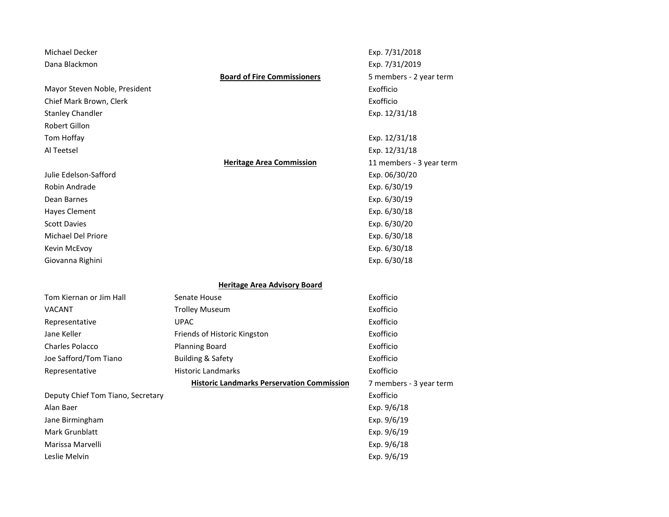| <b>Board of Fire Commissioners</b><br>5 members - 2 year term<br>Exofficio<br>Exofficio<br>Exp. 12/31/18<br>Exp. 12/31/18<br>Exp. 12/31/18<br><b>Heritage Area Commission</b><br>11 members - 3 year term<br>Exp. 06/30/20<br>Exp. 6/30/19<br>Exp. 6/30/19<br>Exp. 6/30/18<br>Exp. 6/30/20<br>Exp. 6/30/18<br>Exp. 6/30/18<br>Exp. 6/30/18<br><b>Heritage Area Advisory Board</b><br>Exofficio<br>Senate House<br>Exofficio<br><b>Trolley Museum</b><br>Exofficio<br><b>UPAC</b><br>Exofficio<br>Friends of Historic Kingston<br>Exofficio<br><b>Planning Board</b><br>Exofficio<br><b>Building &amp; Safety</b><br>Exofficio<br><b>Historic Landmarks</b><br><b>Historic Landmarks Perservation Commission</b><br>7 members - 3 year term | Michael Decker<br>Dana Blackmon   | Exp. 7/31/2018<br>Exp. 7/31/2019 |
|--------------------------------------------------------------------------------------------------------------------------------------------------------------------------------------------------------------------------------------------------------------------------------------------------------------------------------------------------------------------------------------------------------------------------------------------------------------------------------------------------------------------------------------------------------------------------------------------------------------------------------------------------------------------------------------------------------------------------------------------|-----------------------------------|----------------------------------|
|                                                                                                                                                                                                                                                                                                                                                                                                                                                                                                                                                                                                                                                                                                                                            |                                   |                                  |
|                                                                                                                                                                                                                                                                                                                                                                                                                                                                                                                                                                                                                                                                                                                                            | Mayor Steven Noble, President     |                                  |
|                                                                                                                                                                                                                                                                                                                                                                                                                                                                                                                                                                                                                                                                                                                                            | Chief Mark Brown, Clerk           |                                  |
|                                                                                                                                                                                                                                                                                                                                                                                                                                                                                                                                                                                                                                                                                                                                            | <b>Stanley Chandler</b>           |                                  |
|                                                                                                                                                                                                                                                                                                                                                                                                                                                                                                                                                                                                                                                                                                                                            | <b>Robert Gillon</b>              |                                  |
|                                                                                                                                                                                                                                                                                                                                                                                                                                                                                                                                                                                                                                                                                                                                            | Tom Hoffay                        |                                  |
|                                                                                                                                                                                                                                                                                                                                                                                                                                                                                                                                                                                                                                                                                                                                            | Al Teetsel                        |                                  |
|                                                                                                                                                                                                                                                                                                                                                                                                                                                                                                                                                                                                                                                                                                                                            |                                   |                                  |
|                                                                                                                                                                                                                                                                                                                                                                                                                                                                                                                                                                                                                                                                                                                                            | Julie Edelson-Safford             |                                  |
|                                                                                                                                                                                                                                                                                                                                                                                                                                                                                                                                                                                                                                                                                                                                            | Robin Andrade                     |                                  |
|                                                                                                                                                                                                                                                                                                                                                                                                                                                                                                                                                                                                                                                                                                                                            | Dean Barnes                       |                                  |
|                                                                                                                                                                                                                                                                                                                                                                                                                                                                                                                                                                                                                                                                                                                                            | <b>Hayes Clement</b>              |                                  |
|                                                                                                                                                                                                                                                                                                                                                                                                                                                                                                                                                                                                                                                                                                                                            | <b>Scott Davies</b>               |                                  |
|                                                                                                                                                                                                                                                                                                                                                                                                                                                                                                                                                                                                                                                                                                                                            | Michael Del Priore                |                                  |
|                                                                                                                                                                                                                                                                                                                                                                                                                                                                                                                                                                                                                                                                                                                                            | Kevin McEvoy                      |                                  |
|                                                                                                                                                                                                                                                                                                                                                                                                                                                                                                                                                                                                                                                                                                                                            | Giovanna Righini                  |                                  |
|                                                                                                                                                                                                                                                                                                                                                                                                                                                                                                                                                                                                                                                                                                                                            |                                   |                                  |
|                                                                                                                                                                                                                                                                                                                                                                                                                                                                                                                                                                                                                                                                                                                                            | Tom Kiernan or Jim Hall           |                                  |
|                                                                                                                                                                                                                                                                                                                                                                                                                                                                                                                                                                                                                                                                                                                                            | <b>VACANT</b>                     |                                  |
|                                                                                                                                                                                                                                                                                                                                                                                                                                                                                                                                                                                                                                                                                                                                            | Representative                    |                                  |
|                                                                                                                                                                                                                                                                                                                                                                                                                                                                                                                                                                                                                                                                                                                                            | Jane Keller                       |                                  |
|                                                                                                                                                                                                                                                                                                                                                                                                                                                                                                                                                                                                                                                                                                                                            | <b>Charles Polacco</b>            |                                  |
|                                                                                                                                                                                                                                                                                                                                                                                                                                                                                                                                                                                                                                                                                                                                            | Joe Safford/Tom Tiano             |                                  |
|                                                                                                                                                                                                                                                                                                                                                                                                                                                                                                                                                                                                                                                                                                                                            | Representative                    |                                  |
|                                                                                                                                                                                                                                                                                                                                                                                                                                                                                                                                                                                                                                                                                                                                            |                                   |                                  |
|                                                                                                                                                                                                                                                                                                                                                                                                                                                                                                                                                                                                                                                                                                                                            | Deputy Chief Tom Tiano, Secretary | Exofficio                        |
| Exp. 9/6/18                                                                                                                                                                                                                                                                                                                                                                                                                                                                                                                                                                                                                                                                                                                                | Alan Baer                         |                                  |
| Exp. 9/6/19                                                                                                                                                                                                                                                                                                                                                                                                                                                                                                                                                                                                                                                                                                                                | Jane Birmingham                   |                                  |
| Exp. 9/6/19                                                                                                                                                                                                                                                                                                                                                                                                                                                                                                                                                                                                                                                                                                                                | Mark Grunblatt                    |                                  |
| Exp. 9/6/18                                                                                                                                                                                                                                                                                                                                                                                                                                                                                                                                                                                                                                                                                                                                | Marissa Marvelli                  |                                  |
| Exp. 9/6/19                                                                                                                                                                                                                                                                                                                                                                                                                                                                                                                                                                                                                                                                                                                                | Leslie Melvin                     |                                  |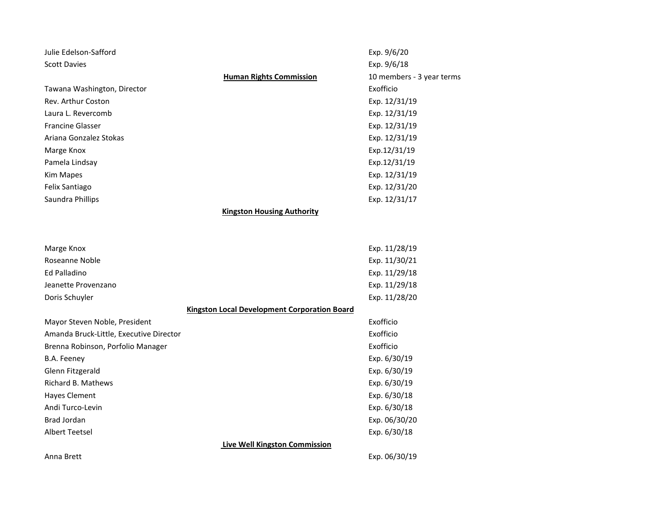| Julie Edelson-Safford                        | Exp. 9/6/20                                                 |  |  |
|----------------------------------------------|-------------------------------------------------------------|--|--|
| <b>Scott Davies</b>                          | Exp. 9/6/18                                                 |  |  |
|                                              | <b>Human Rights Commission</b><br>10 members - 3 year terms |  |  |
| Tawana Washington, Director                  | Exofficio                                                   |  |  |
| Rev. Arthur Coston                           | Exp. 12/31/19                                               |  |  |
| Laura L. Revercomb                           | Exp. 12/31/19                                               |  |  |
| <b>Francine Glasser</b>                      | Exp. 12/31/19                                               |  |  |
| Ariana Gonzalez Stokas                       | Exp. 12/31/19                                               |  |  |
| Marge Knox                                   | Exp.12/31/19                                                |  |  |
| Pamela Lindsay                               | Exp.12/31/19                                                |  |  |
| <b>Kim Mapes</b>                             | Exp. 12/31/19                                               |  |  |
| Felix Santiago                               | Exp. 12/31/20                                               |  |  |
| Saundra Phillips                             | Exp. 12/31/17                                               |  |  |
|                                              | <b>Kingston Housing Authority</b>                           |  |  |
|                                              |                                                             |  |  |
|                                              |                                                             |  |  |
| Marge Knox                                   | Exp. 11/28/19                                               |  |  |
| Roseanne Noble                               | Exp. 11/30/21                                               |  |  |
| <b>Ed Palladino</b>                          | Exp. 11/29/18                                               |  |  |
| Jeanette Provenzano                          | Exp. 11/29/18                                               |  |  |
| Doris Schuyler                               | Exp. 11/28/20                                               |  |  |
| Kingston Local Development Corporation Board |                                                             |  |  |
| Mayor Steven Noble, President                | Exofficio                                                   |  |  |
| Amanda Bruck-Little, Executive Director      | Exofficio                                                   |  |  |
| Brenna Robinson, Porfolio Manager            | Exofficio                                                   |  |  |
| B.A. Feeney                                  | Exp. 6/30/19                                                |  |  |
| Glenn Fitzgerald                             | Exp. 6/30/19                                                |  |  |
| Richard B. Mathews                           | Exp. 6/30/19                                                |  |  |
| Hayes Clement                                | Exp. 6/30/18                                                |  |  |
| Andi Turco-Levin                             | Exp. 6/30/18                                                |  |  |
| Brad Jordan                                  | Exp. 06/30/20                                               |  |  |
| <b>Albert Teetsel</b>                        | Exp. 6/30/18                                                |  |  |
| <b>Live Well Kingston Commission</b>         |                                                             |  |  |
| Anna Brett                                   | Exp. 06/30/19                                               |  |  |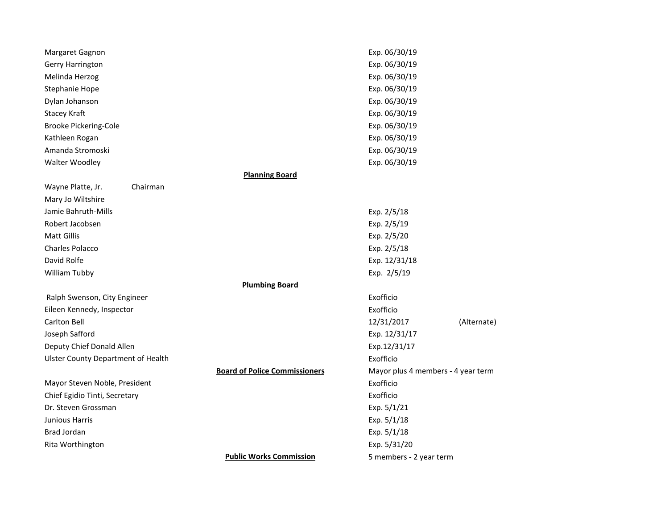| Margaret Gagnon                           |                                      | Exp. 06/30/19                      |             |
|-------------------------------------------|--------------------------------------|------------------------------------|-------------|
| Gerry Harrington                          |                                      | Exp. 06/30/19                      |             |
| Melinda Herzog                            |                                      | Exp. 06/30/19                      |             |
| Stephanie Hope                            |                                      | Exp. 06/30/19                      |             |
| Dylan Johanson                            |                                      | Exp. 06/30/19                      |             |
| Stacey Kraft                              |                                      | Exp. 06/30/19                      |             |
| <b>Brooke Pickering-Cole</b>              |                                      | Exp. 06/30/19                      |             |
| Kathleen Rogan                            |                                      | Exp. 06/30/19                      |             |
| Amanda Stromoski                          |                                      | Exp. 06/30/19                      |             |
| Walter Woodley                            |                                      | Exp. 06/30/19                      |             |
|                                           | <b>Planning Board</b>                |                                    |             |
| Wayne Platte, Jr.<br>Chairman             |                                      |                                    |             |
| Mary Jo Wiltshire                         |                                      |                                    |             |
| Jamie Bahruth-Mills                       |                                      | Exp. 2/5/18                        |             |
| Robert Jacobsen                           |                                      | Exp. 2/5/19                        |             |
| <b>Matt Gillis</b>                        |                                      | Exp. 2/5/20                        |             |
| <b>Charles Polacco</b>                    |                                      | Exp. 2/5/18                        |             |
| David Rolfe                               |                                      | Exp. 12/31/18                      |             |
| William Tubby                             |                                      | Exp. 2/5/19                        |             |
|                                           | <b>Plumbing Board</b>                |                                    |             |
| Ralph Swenson, City Engineer              |                                      | Exofficio                          |             |
| Eileen Kennedy, Inspector                 |                                      | Exofficio                          |             |
| <b>Carlton Bell</b>                       |                                      | 12/31/2017                         | (Alternate) |
| Joseph Safford                            |                                      | Exp. 12/31/17                      |             |
| Deputy Chief Donald Allen                 |                                      | Exp.12/31/17                       |             |
| <b>Ulster County Department of Health</b> |                                      | Exofficio                          |             |
|                                           | <b>Board of Police Commissioners</b> | Mayor plus 4 members - 4 year term |             |
| Mayor Steven Noble, President             |                                      | Exofficio                          |             |
| Chief Egidio Tinti, Secretary             |                                      | Exofficio                          |             |
| Dr. Steven Grossman                       |                                      | Exp. 5/1/21                        |             |
| Junious Harris                            |                                      | Exp. 5/1/18                        |             |
| Brad Jordan                               |                                      | Exp. 5/1/18                        |             |
| Rita Worthington                          |                                      | Exp. 5/31/20                       |             |
|                                           | <b>Public Works Commission</b>       | 5 members - 2 year term            |             |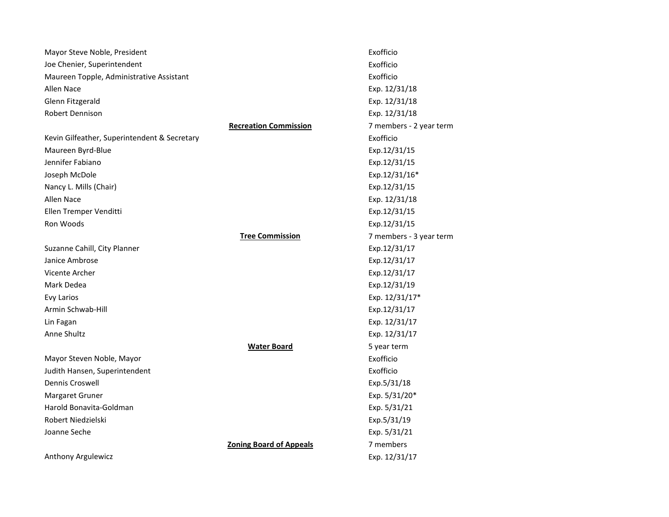| Mayor Steve Noble, President                 |                                | Exofficio               |
|----------------------------------------------|--------------------------------|-------------------------|
| Joe Chenier, Superintendent                  |                                | Exofficio               |
| Maureen Topple, Administrative Assistant     |                                | Exofficio               |
| Allen Nace                                   |                                | Exp. 12/31/18           |
| Glenn Fitzgerald                             |                                | Exp. 12/31/18           |
| Robert Dennison                              |                                | Exp. 12/31/18           |
|                                              | <b>Recreation Commission</b>   | 7 members - 2 year term |
| Kevin Gilfeather, Superintendent & Secretary |                                | Exofficio               |
| Maureen Byrd-Blue                            |                                | Exp.12/31/15            |
| Jennifer Fabiano                             |                                | Exp.12/31/15            |
| Joseph McDole                                |                                | Exp.12/31/16*           |
| Nancy L. Mills (Chair)                       |                                | Exp.12/31/15            |
| Allen Nace                                   |                                | Exp. 12/31/18           |
| Ellen Tremper Venditti                       |                                | Exp.12/31/15            |
| Ron Woods                                    |                                | Exp.12/31/15            |
|                                              | <b>Tree Commission</b>         | 7 members - 3 year term |
| Suzanne Cahill, City Planner                 |                                | Exp.12/31/17            |
| Janice Ambrose                               |                                | Exp.12/31/17            |
| Vicente Archer                               |                                | Exp.12/31/17            |
| Mark Dedea                                   |                                | Exp.12/31/19            |
| <b>Evy Larios</b>                            |                                | Exp. 12/31/17*          |
| Armin Schwab-Hill                            |                                | Exp.12/31/17            |
| Lin Fagan                                    |                                | Exp. 12/31/17           |
| Anne Shultz                                  |                                | Exp. 12/31/17           |
|                                              | <b>Water Board</b>             | 5 year term             |
| Mayor Steven Noble, Mayor                    |                                | Exofficio               |
| Judith Hansen, Superintendent                |                                | Exofficio               |
| Dennis Croswell                              |                                | Exp.5/31/18             |
| Margaret Gruner                              |                                | Exp. 5/31/20*           |
| Harold Bonavita-Goldman                      |                                | Exp. 5/31/21            |
| Robert Niedzielski                           |                                | Exp.5/31/19             |
| Joanne Seche                                 |                                | Exp. 5/31/21            |
|                                              | <b>Zoning Board of Appeals</b> | 7 members               |
| Anthony Argulewicz                           |                                | Exp. 12/31/17           |